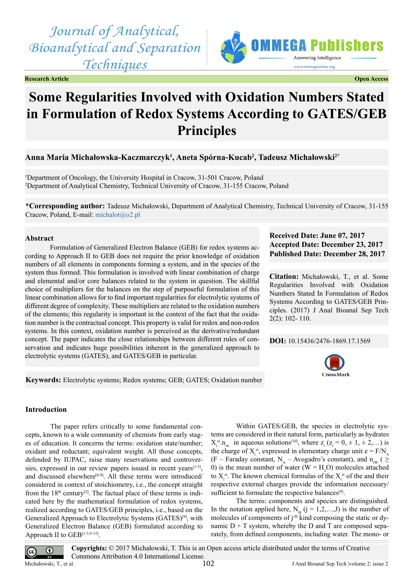*Journal of Analytical, Bioanalytical and Separation Techniques*







# **Some Regularities Involved with Oxidation Numbers Stated in Formulation of Redox Systems According to GATES/GEB Principles**

# **Anna Maria Michałowska-Kaczmarczyk<sup>1</sup> , Aneta Spórna-Kucab<sup>2</sup> , Tadeusz Michałowski2\***

1 Department of Oncology, the University Hospital in Cracow, 31-501 Cracow, Poland 2 Department of Analytical Chemistry, Technical University of Cracow, 31-155 Cracow, Poland

**\*Corresponding author:** Tadeusz Michałowski, Department of Analytical Chemistry, Technical University of Cracow, 31-155 Cracow, Poland, E-mail: [michalot@o2.pl](mailto:michalot@o2.pl)

#### **Abstract**

Formulation of Generalized Electron Balance (GEB) for redox systems according to Approach II to GEB does not require the prior knowledge of oxidation numbers of all elements in components forming a system, and in the species of the system thus formed. This formulation is involved with linear combination of charge and elemental and/or core balances related to the system in question. The skillful choice of multipliers for the balances on the step of purposeful formulation of this linear combination allows for to find important regularities for electrolytic systems of different degree of complexity. These multipliers are related to the oxidation numbers of the elements; this regularity is important in the context of the fact that the oxidation number is the contractual concept. This property is valid for redox and non-redox systems. In this context, oxidation number is perceived as the derivative/redundant concept. The paper indicates the close relationships between different rules of conservation and indicates huge possibilities inherent in the generalized approach to electrolytic systems (GATES), and GATES/GEB in particular.

**Keywords:** Electrolytic systems; Redox systems; GEB; GATES; Oxidation number

# **Received Date: June 07, 2017 Accepted Date: December 23, 2017 Published Date: December 28, 2017**

**Citation:** Michałowski, T., et al. Some Regularities Involved with Oxidation Numbers Stated In Formulation of Redox Systems According to GATES/GEB Principles. (2017) J Anal Bioanal Sep Tech 2(2): 102- 110.

**DOI:** [10.15436/2476-1869.17.1](https://doi.org/10.15436/2476-1869.17.1569)569



## **Introduction**

The paper refers critically to some fundamental concepts, known to a wide community of chemists from early stages of education. It concerns the terms: oxidation state/number; oxidant and reductant; equivalent weight. All those concepts, defended by IUPAC, raise many reservations and controver-sies, expressed in our review papers issued in recent years<sup>[\[1-5\]](#page-7-0)</sup>, and discussed elsewhere<sup>[\[6-8\]](#page-7-1)</sup>. All these terms were introduced/ considered in context of stoichiometry, i.e., the concept straight from the  $18<sup>th</sup>$  century<sup>[\[3\]](#page-7-2)</sup>. The factual place of these terms is indicated here by the mathematical formulation of redox systems, realized according to GATES/GEB principles, i.e., based on the Generalized Approach to Electrolytic Systems (GATES)[\[9\]](#page-7-3), with Generalized Electron Balance (GEB) formulated according to Approach II to GEB<sup>[\[1-5,9-15\]](#page-7-0)</sup>.

Within GATES/GEB, the species in electrolytic systems are considered in their natural form, particularly as hydrates  $X_i^{zi} \cdot n_{iw}$  in aqueous solutions<sup>[\[10\]](#page-7-4)</sup>, where  $z_i$  ( $z_i = 0, \pm 1, \pm 2,...$ ) is the charge of  $X_i^{zi}$ , expressed in elementary charge unit  $e = F/N_A$ (F – Faraday constant, N<sub>A</sub> – Avogadro's constant), and  $n_{iw}$  ( $\geq$ 0) is the mean number of water ( $W = H<sub>2</sub>O$ ) molecules attached to  $X_i^{zi}$ . The known chemical formulas of the  $X_i^{zi}$  of the and their respective external charges provide the information necessary/ sufficient to formulate the respective balances<sup>[4]</sup>.

The terms: components and species are distinguished. In the notation applied here,  $N_{0j}$  (j = 1,2,...,J) is the number of molecules of components of  $j<sup>th</sup>$  kind composing the static or dynamic  $D + T$  system, whereby the D and T are composed separately, from defined components, including water. The mono- or



 $\overline{cc}$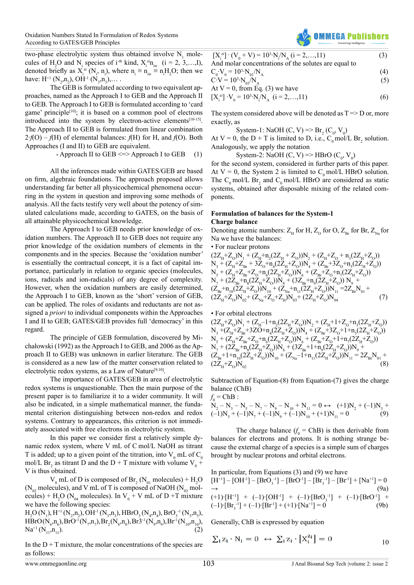two-phase electrolytic system thus obtained involve  $N_1$  molecules of H<sub>2</sub>O and N<sub>i</sub> species of i<sup>-th</sup> kind,  $X_i^{zi}n_{iw}$  (i = 2, 3,...,I), denoted briefly as  $X_i^{zi}$  ( $N_i$ ,  $n_i$ ), where  $n_i \equiv n_{iw} \equiv n_i H_2 O$ ; then we have:  $H^+$  (N<sub>2</sub>,n<sub>2</sub>), OH<sup>-1</sup> (N<sub>3</sub>,n<sub>3</sub>),....

The GEB is formulated according to two equivalent approaches, named as the Approach I to GEB and the Approach II to GEB. The Approach I to GEB is formulated according to 'card game' principle<sup>[\[10\]](#page-7-4)</sup>; it is based on a common pool of electrons introduced into the system by electron-active elements $[10-15]$ . The Approach II to GEB is formulated from linear combination 2∙*f*(O) – *f*(H) of elemental balances: *f*(H) for H, and *f*(O). Both Approaches (I and II) to GEB are equivalent.

• Approach II to GEB  $\le$  > Approach I to GEB (1)

All the inferences made within GATES/GEB are based on firm, algebraic foundations. The approach proposed allows understanding far better all physicochemical phenomena occurring in the system in question and improving some methods of analysis. All the facts testify very well about the potency of simulated calculations made, according to GATES, on the basis of all attainable physicochemical knowledge.

The Approach I to GEB needs prior knowledge of oxidation numbers. The Approach II to GEB does not require any prior knowledge of the oxidation numbers of elements in the components and in the species. Because the 'oxidation number' is essentially the contractual concept, it is a fact of capital importance, particularly in relation to organic species (molecules, ions, radicals and ion-radicals) of any degree of complexity. However, when the oxidation numbers are easily determined, the Approach I to GEB, known as the 'short' version of GEB, can be applied. The roles of oxidants and reductants are not assigned a *priori* to individual components within the Approaches I and II to GEB; GATES/GEB provides full 'democracy' in this regard.

The principle of GEB formulation, discovered by Michałowski (1992) as the Approach I to GEB, and 2006 as the Approach II to GEB) was unknown in earlier literature. The GEB is considered as a new law of the matter conservation related to electrolytic redox systems, as a Law of Nature<sup>[9,10]</sup>.

The importance of GATES/GEB in area of electrolytic redox systems is unquestionable. Then the main purpose of the present paper is to familiarize it to a wider community. It will also be indicated, in a simple mathematical manner, the fundamental criterion distinguishing between non-redox and redox systems. Contrary to appearances, this criterion is not immediately associated with free electrons in electrolytic system.

In this paper we consider first a relatively simple dynamic redox system, where V mL of C mol/L NaOH as titrant T is added; up to a given point of the titration, into  $V_0$  mL of  $C_0$ mol/L Br<sub>2</sub> as titrant D and the D + T mixture with volume  $V_0$  + V is thus obtained.

 $V_0$  mL of D is composed of Br<sub>2</sub> ( $N_{01}$  molecules) + H<sub>2</sub>O ( $N_{02}$  molecules), and V mL of T is composed of NaOH ( $N_{03}$  molecules) +  $H_2O(N_{04}$  molecules). In  $V_0$  + V mL of D +T mixture we have the following species:

 $H_2O(N_1), H^{+1}(N_2, n_2), OH^{-1}(N_3, n_3), HBrO<sub>3</sub>(N_4, n_4), BrO<sub>3</sub><sup>-1</sup>(N_5, n_5),$  $HBrO(N_{6}, n_{6}), BrO^{-1}(N_{7}, n_{7}), Br_{2}(N_{8}, n_{8}), Br3^{-1}(N_{9}, n_{9}), Br^{1}(N_{10}, n_{10}),$  $\text{Na}^{+1}(\text{N}_{11},\text{n}_{11}).$  (2)

In the  $D+T$  mixture, the molar concentrations of the species are as follows:



$$
[X_i^{zi}] \cdot (V_0 + V) = 10^3 \cdot N_i / N_A (i = 2,...,11)
$$
\nAnd molar conservation of the solutions are equal to

And molar concentrations of the solutes are equal to 
$$
6.11 \times 10^{10} \, \text{M}
$$

$$
C_0 \cdot V_0 = 10^3 \cdot N_{01} / N_A \tag{4}
$$

$$
C_0 \cdot V_0 = 10^3 \cdot N_{01}/N_A
$$
\n
$$
C \cdot V = 10^3 \cdot N_{03}/N_A
$$
\n(4)\n(5)

At V = 0, from Eq. (3) we have

$$
[X_i^{zi}] \cdot V_0 = 10^3 \cdot N_i / N_A \ (i = 2, ..., 11)
$$
 (6)

The system considered above will be denoted as  $T \Rightarrow D$  or, more exactly, as

System-1: NaOH (C, V) =>  $\text{Br}_2^{}(C_0, V_0)$ 

At  $V = 0$ , the D + T is limited to D, i.e.,  $C_0$  mol/L Br<sub>2</sub> solution. Analogously, we apply the notation

System-2: NaOH  $(C, V)$  => HBrO  $(C_0, V_0)$ 

for the second system, considered in further parts of this paper. At  $V = 0$ , the System 2 is limited to  $C_0$  mol/L HBrO solution. The  $C_0$  mol/L Br<sub>2</sub> and  $C_0$  mol/L HBrO are considered as static systems, obtained after disposable mixing of the related components.

#### **Formulation of balances for the System-1 Charge balance**

Denoting atomic numbers:  $Z_H$  for H,  $Z_o$  for O,  $Z_{Br}$  for Br,  $Z_{Na}$  for Na we have the balances:

• For nuclear protons

$$
\begin{array}{l} (2Z_{\mu}+Z_{0})N_{_{1}}+(Z_{\mu}+n_{2}(2Z_{\mu}+Z_{0}))N_{_{2}}+(Z_{\mu}+Z_{0}+n_{3}(2Z_{\mu}+Z_{0}))\\ N_{_{3}}+(Z_{\mu}+Z_{_{Br}}+3Z_{0}+n_{4}(2Z_{\mu}+Z_{0}))N_{_{4}}+(Z_{_{Br}}+3Z_{0}+n_{5}(2Z_{\mu}+Z_{0}))\\ N_{_{5}}+(Z_{\mu}+Z_{_{Br}}+Z_{0}+n_{6}(2Z_{\mu}+Z_{0}))N_{_{6}}+(Z_{Br}+Z_{0}+n_{7}(2Z_{\mu}+Z_{0}))\\ N_{_{7}}+(2Z_{_{Br}}+n_{8}(2Z_{\mu}+Z_{0}))N_{_{8}}+(3Z_{_{Br}}+n_{9}(2Z_{\mu}+Z_{0}))N_{_{9}}+\\ (Z_{_{Br}}+n_{_{10}}(2Z_{\mu}+Z_{0}))N_{_{10}}+(Z_{_{Na}}+n_{_{11}}(2Z_{\mu}+Z_{0}))N_{_{11}}=2Z_{_{Br}}N_{_{01}}+\\ (2Z_{\mu}+Z_{0})N_{_{02}}+(Z_{_{Na}}+Z_{0}+Z_{\mu})N_{_{03}}+(2Z_{\mu}+Z_{0})N_{_{04}} \end{array} \qquad \qquad (7)
$$

• For orbital electrons

$$
\begin{array}{l} (2Z_{\mu}+Z_{0})N_{_{1}}+(Z_{\mu}-1+n_{2}(2Z_{\mu}+Z_{0}))N_{_{2}}+(Z_{\mu}+1+Z_{0}+n_{3}(2Z_{\mu}+Z_{0}))\\ N_{_{3}}+(Z_{\mu}+Z_{\text{Br}}+3ZO+n_{4}(2Z_{\mu}+Z_{0}))N_{_{4}}+(Z_{\text{Br}}+3Z_{0}+1+n_{5}(2Z_{\mu}+Z_{0}))\\ N_{_{5}}+(Z_{\mu}+Z_{\text{Br}}+Z_{0}+n_{6}(2Z_{\mu}+Z_{0}))N_{_{6}}+(Z_{\text{Br}}+Z_{0}+1+n_{7}(2Z_{\mu}+Z_{0}))\\ N_{_{7}}+(2Z_{\text{Br}}+n_{8}(2Z_{\mu}+Z_{0}))N_{_{8}}+(3Z_{\text{Br}}+1+n_{9}(2Z_{\mu}+Z_{0}))N_{_{9}}+\\ (Z_{\text{Br}}+1+n_{10}(2Z_{\mu}+Z_{0}))N_{_{10}}+(Z_{\text{Na}}-1+n_{11}(2Z_{\mu}+Z_{0}))N_{_{11}}=2Z_{\text{Br}}N_{_{01}}+\\ (2Z_{\mu}+Z_{0})N_{_{02}} \end{array} \tag{8}
$$

Subtraction of Equation-(8) from Equation-(7) gives the charge balance (ChB)

 $f_0$  = ChB :

$$
N_2 - N_3 - N_5 - N_7 - N_9 - N_{10} + N_{11} = 0 \leftrightarrow (+1)N_2 + (-1)N_3 + (-1)N_5 + (-1)N_7 + (-1)N_9 + (-1)N_{10} + (+1)N_{11} = 0
$$
\n(9)

The charge balance  $(f_0 = ChB)$  is then derivable from balances for electrons and protons. It is nothing strange because the external charge of a species is a simple sum of charges brought by nuclear protons and orbital electrons.

In particular, from Equations (3) and (9) we have  
\n
$$
[H^{+1}] - [OH^{-1}] - [BrO_3^{-1}] - [BrO^{-1}] - [Br_3^{-1}] - [Br^{-1}] + [Na^{+1}] = 0
$$
\n
$$
\rightarrow (9a)
$$
\n(+1) $\cdot$ [H<sup>+1</sup>] + (-1) $\cdot$ [OH<sup>-1</sup>] + (-1) $\cdot$ [BrO<sub>3</sub><sup>-1</sup>] + (-1) $\cdot$ [BrO<sup>-1</sup>] + (0) $\cdot$ [BrO<sup>-1</sup>] + (0) $\cdot$ [BrO<sup>-1</sup>] + (0) $\cdot$ [BrO<sup>-1</sup>] + (0) $\cdot$ [BrO<sup>-1</sup>] + (0) $\cdot$ [BrO<sup>-1</sup>] + (0) $\cdot$ [BrO<sup>-1</sup>] + (1) $\cdot$ [Na<sup>+1</sup>] = 0

Generally, ChB is expressed by equation

$$
\sum_{i} z_{i} \cdot N_{i} = 0 \leftrightarrow \sum_{i} z_{i} \cdot [X_{i}^{z_{i}}] = 0
$$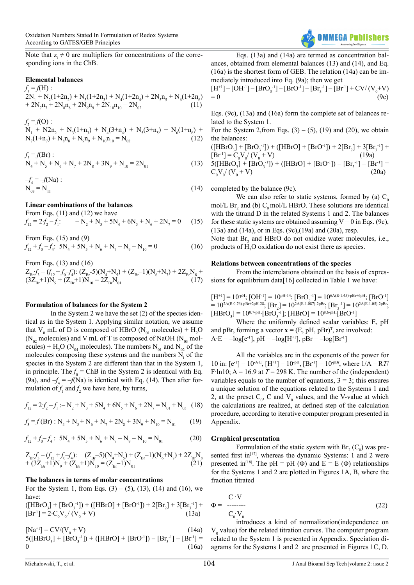Note that  $z_i \neq 0$  are multipliers for concentrations of the corresponding ions in the ChB.

#### **Elemental balances**

 $f_1 = f(H)$ :  $2N_1 + N_2(1+2n_2) + N_3(1+2n_3) + N_4(1+2n_4) + 2N_5n_5 + N_6(1+2n_6)$ +  $2N_7n_7 + 2N_8n_8 + 2N_9n_9 + 2N_{10}n_{10} = 2N_{02}$  (11)

$$
f_2 = f(0):
$$
  
\n
$$
N_1 + N2n_2 + N_3(1+n_3) + N_4(3+n_4) + N_5(3+n_5) + N_6(1+n_6) +
$$
  
\n
$$
N_7(1+n_7) + N_8n_8 + N_9n_9 + N_{10}n_{10} = N_{02}
$$
\n(12)

$$
f_3 = f(Br) : \nN_4 + N_5 + N_6 + N_7 + 2N_8 + 3N_9 + N_{10} = 2N_{01}
$$
\n(13)

 $-f_4 = -f(Na)$ :  $N_{03} = N_{11}$  (14)

#### **Linear combinations of the balances**

From Eqs. (11) and (12) we have

 $f_{12} = 2 f_2 - f_1$ :  $-N_2+N_3+5N_4+6N_5+N_6+2N_7=0$  (15) From Eqs. (15) and (9)

 $f_{12} + f_0 - f_4$ :  $5N_4 + 5N_5 + N_6 + N_7 - N_9 - N_{10} = 0$  (16)

From Eqs. (13) and (16)  $Z_{\text{Br}} f_3^2 - (f_{12}^2 + f_0^2 - f_4^2)$ :  $(Z_{\text{Br}}^2 - 5)(N_4 + N_5) + (Z_{\text{Br}}^2 - 1)(N_6^2 + N_7) + 2Z_{\text{Br}}^2N_8 +$  $(3Z_{\text{Br}}+1)N_9 + (Z_{\text{Br}}+1)N_{10} = 2Z_{\text{Br}}N_{01}$  (17)

#### **Formulation of balances for the System 2**

In the System 2 we have the set (2) of the species identical as in the System 1. Applying similar notation, we assume that  $V_0$  mL of D is composed of HBrO ( $N_{01}$  molecules) + H<sub>2</sub>O ( $N_{02}$  molecules) and V mL of T is composed of NaOH ( $N_{03}$  molecules) +  $H_2O(N_{04}$  molecules). The numbers  $N_{01}$  and  $N_{02}$  of the molecules composing these systems and the numbers  $N_i$  of the species in the System 2 are different than that in the System 1, in principle. The  $f_0$  = ChB in the System 2 is identical with Eq. (9a), and  $-f_4 = -f(Na)$  is identical with Eq. (14). Then after formulation of  $f_1$  and  $f_2$  we have here, by turns,

$$
f_{12} = 2f_2 - f_1 : -N_2 + N_3 + 5N_4 + 6N_5 + N_6 + 2N_7 = N_{01} + N_{03} \quad (18)
$$

$$
f_3 = f(Br) : N_4 + N_5 + N_6 + N_7 + 2N_8 + 3N_9 + N_{10} = N_{01}
$$
 (19)

$$
f_{12} + f_0 - f_4: 5N_4 + 5N_5 + N_6 + N_7 - N_9 - N_{10} = N_{01}
$$
 (20)

$$
\begin{array}{ll} Z_{\text{Br}} f_{\text{3}}^{\text{}} - (f_{12}^{\text{}} + f_{0}^{\text{}} - f_{4}^{\text{}}) \text{:} & (Z_{\text{Br}}^{\text{}} - 5)(N_{\text{4}}^{\text{}} + N_{\text{5}}) + (Z_{\text{Br}}^{\text{}} - 1)(N_{\text{6}}^{\text{}} + N_{\text{7}}) + 2Z_{\text{Br}}^{\text{}}N_{\text{8}} \\ & + (3Z_{\text{Br}}^{\text{}} + 1)N_{\text{9}}^{\text{}} + (Z_{\text{Br}}^{\text{}} + 1)N_{\text{10}}^{\text{}} = (Z_{\text{Br}}^{\text{}} - 1)N_{\text{01}}^{\text{}} \end{array} \tag{21}
$$

#### **The balances in terms of molar concentrations**

For the System 1, from Eqs.  $(3) - (5)$ ,  $(13)$ ,  $(14)$  and  $(16)$ , we have:

 $([HBrO<sub>3</sub>] + [BrO<sub>3</sub><sup>-1</sup>]) + ([HBrO] + [BrO<sup>-1</sup>]) + 2[Br<sub>2</sub>] + 3[Br<sub>3</sub><sup>-1</sup>] +$  $[Br<sup>1</sup>] = 2 \cdot C_0 V_0 / (V_0 + V)$  (13a)

 $[Na^{+1}] = CV/(V_0 + V)$  (14a)

 $5([HBrO<sub>3</sub>] + [BrO<sub>3</sub><sup>-1</sup>]) + ([HBrO] + [BrO<sup>-1</sup>]) - [Br<sub>3</sub><sup>-1</sup>] - [Br<sup>-1</sup>] =$  $0 \t(16a)$ 



Eqs. (13a) and (14a) are termed as concentration balances, obtained from elemental balances (13) and (14), and Eq. (16a) is the shortest form of GEB. The relation (14a) can be immediately introduced into Eq. (9a); then we get

 $[H<sup>+1</sup>] - [OH<sup>-1</sup>] - [BrO<sub>3</sub><sup>-1</sup>] - [BrO<sup>-1</sup>] - [Br<sub>3</sub><sup>-1</sup>] - [Br<sup>-1</sup>] + CV/(V<sub>0</sub>+V)$  $= 0$  (9c)

Eqs. (9c), (13a) and (16a) form the complete set of balances related to the System 1.

For the System 2, from Eqs.  $(3) - (5)$ ,  $(19)$  and  $(20)$ , we obtain the balances:

 $([HBrO<sub>3</sub>] + [BrO<sub>3</sub><sup>-1</sup>]) + ([HBrO] + [BrO<sup>-1</sup>]) + 2[Br<sub>2</sub>] + 3[Br<sub>3</sub><sup>-1</sup>] +$  $[Br^1] = C_0 V_0 / (V_0 + V)$  (19a)  $5([HBrO<sub>3</sub>] + [BrO<sub>3</sub><sup>-1</sup>]) + ([HBrO] + [BrO<sup>-1</sup>]) - [Br<sub>3</sub><sup>-1</sup>] - [Br<sup>-1</sup>] =$  $C_0 V_0 / (V_0 + V)$  (20a)

completed by the balance (9c).

We can also refer to static systems, formed by (a)  $C_0$ mol/L  $\text{Br}_2$  and (b)  $\text{C}_0$  mol/L HBrO. These solutions are identical with the titrand D in the related Systems 1 and 2. The balances for these static systems are obtained assuming  $V = 0$  in Eqs. (9c), (13a) and (14a), or in Eqs. (9c),(19a) and (20a), resp.

Note that  $Br_2$  and HBrO do not oxidize water molecules, i.e., products of  $H_2O$  oxidation do not exist there as species.

#### **Relations between concentrations of the species**

From the interrelations obtained on the basis of expressions for equilibrium data[16] collected in Table 1 we have:

 $[H<sup>+1</sup>] = 10<sup>-pH</sup>; [OH<sup>-1</sup>] = 10<sup>pH-14</sup>; [BrO<sub>3</sub><sup>-1</sup>] = 10<sup>6A(E-1.45)-pBr+6pH; [BrO<sup>-1</sup>]</sup>$ = 10<sup>2A(E-0.76)-pBr+2pH-28</sup>;  $[Br_2] = 10^{2A(E-1.087)-2pBr}$ ;  $[Br_3^{-1}] = 10^{2A(E-1.05)-2pBr}$ ;  $[\text{HBrO}_3] = 10^{0.7\text{-}pH}$ · $[\text{BrO}_3^{-1}]$ ;  $[\text{HBrO}] = 10^{8.6\text{-}pH}$ · $[\text{BrO}^{-1}]$ 

Where the uniformly defined scalar variables: E, pH and pBr, forming a vector  $\mathbf{x} = (E, pH, pBr)^T$ , are involved:  $A·E = -log[e^{-1}]$ , pH =  $-log[H^{+1}]$ , pBr =  $-log[Br^{-1}]$ 

All the variables are in the exponents of the power for 10 in:  $[e^{-1}] = 10^{-A_E}$ ,  $[H^{+1}] = 10^{-pH}$ ,  $[Br^{-1}] = 10^{-pBr}$ , where  $1/A = RT$ / F⋅ln10; A = 16.9 at  $T = 298$  K. The number of the (independent) variables equals to the number of equations,  $3 = 3$ ; this ensures a unique solution of the equations related to the Systems 1 and 2, at the preset  $C_0$ , C and  $V_0$  values, and the V-value at which the calculations are realized, at defined step of the calculation procedure, according to iterative computer program presented in Appendix.

#### **Graphical presentation**

Formulation of the static system with  $Br_2(C_0)$  was pre-sented first in<sup>[\[17\]](#page-8-0)</sup>, whereas the dynamic Systems: 1 and 2 were presented in<sup>[18]</sup>. The pH = pH ( $\Phi$ ) and E = E ( $\Phi$ ) relationships for the Systems 1 and 2 are plotted in Figures 1A, B, where the fraction titrated

$$
\Phi = \frac{C \cdot V}{C_0 \cdot V_0} \tag{22}
$$

introduces a kind of normalization(independence on  $V<sub>0</sub>$  value) for the related titration curves. The computer program related to the System 1 is presented in Appendix. Speciation diagrams for the Systems 1 and 2 are presented in Figures 1C, D.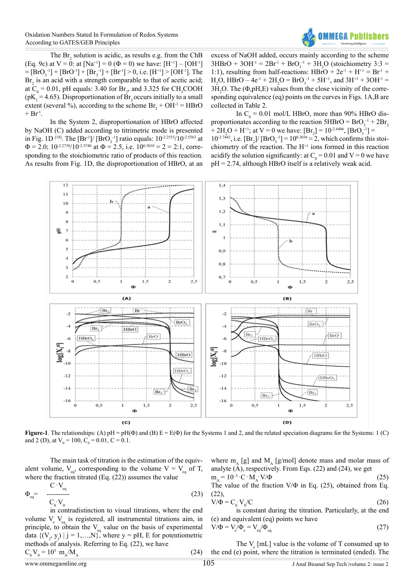

The  $\text{Br}_2$  solution is acidic, as results e.g. from the ChB (Eq. 9c) at  $V = 0$ : at  $[Na^{+1}] = 0$  ( $\Phi = 0$ ) we have:  $[H^{+1}] - [OH^{-1}]$  $=[BrO<sub>3</sub><sup>-1</sup>] + [BrO<sup>-1</sup>] + [Br<sub>3</sub><sup>-1</sup>] + [Br<sup>1</sup>] > 0$ , i.e.  $[H<sup>+1</sup>] > [OH<sup>-1</sup>]$ . The  $Br<sub>2</sub>$  is an acid with a strength comparable to that of acetic acid; at  $C_0 = 0.01$ , pH equals: 3.40 for  $Br_2$ , and 3.325 for CH<sub>3</sub>COOH ( $pK_1$  = 4.65). Disproportionation of  $Br_2$  occurs initially to a small extent (several %), according to the scheme  $Br_2 + OH^{-1} = HBrO$  $+ Br<sup>1</sup>$ .

In the System 2, disproportionation of HBrO affected by NaOH (C) added according to titrimetric mode is presented in Fig. 1D <sup>[18]</sup>. The [Br<sup>1</sup>]/ [BrO<sub>3</sub><sup>-1</sup>] ratio equals: 10<sup>-2.2553</sup>/10<sup>-2.5563</sup> at  $\Phi = 2.0$ ;  $10^{-2.2730}/10^{-2.5740}$  at  $\Phi = 2.5$ , i.e.  $10^{0.3010} = 2 = 2.1$ , corresponding to the stoichiometric ratio of products of this reaction. As results from Fig. 1D, the disproportionation of HBrO, at an

excess of NaOH added, occurs mainly according to the scheme  $3HBrO + 3OH^{-1} = 2Br^{-1} + BrO<sub>3</sub><sup>-1</sup> + 3H<sub>2</sub>O$  (stoichiometry 3:3 = 1:1), resulting from half-reactions:  $HBrO + 2e^{-1} + H^{-1} = Br^{-1} +$  $H_2O$ , HBrO – 4e<sup>-1</sup> + 2H<sub>2</sub>O = BrO<sub>3</sub><sup>-1</sup> + 5H<sup>+1</sup>, and 3H<sup>+1</sup> + 3OH<sup>-1</sup> =  $3H<sub>2</sub>O$ . The ( $\Phi$ ,pH,E) values from the close vicinity of the corresponding equivalence (eq) points on the curves in Figs. 1A,B are collected in Table 2.

In  $C_0 = 0.01$  mol/L HBrO, more than 90% HBrO disproportionates according to the reaction  $5HBrO = BrO<sub>3</sub><sup>-1</sup> + 2Br<sub>2</sub>$ + 2H<sub>2</sub>O + H<sup>+1</sup>; at V = 0 we have:  $[Br_2] = 10^{-2.4406}$ ,  $[BrO_3^{-1}] =$  $10^{-2.7442}$ , i.e.  $[Br_2]/[BrO_3^{-1}] = 10^{0.3036} \approx 2$ , which confirms this stoichiometry of the reaction. The H+1 ions formed in this reaction acidify the solution significantly: at  $C_0 = 0.01$  and  $V = 0$  we have  $pH = 2.74$ , although HBrO itself is a relatively weak acid.



**Figure-1**. The relationships: (A) pH = pH( $\Phi$ ) and (B)  $E = E(\Phi)$  for the Systems 1 and 2, and the related speciation diagrams for the Systems: 1 (C) and 2 (D), at  $V_0 = 100$ ,  $C_0 = 0.01$ ,  $C = 0.1$ .

The main task of titration is the estimation of the equivalent volume,  $V_{eq}$ , corresponding to the volume  $V = V_{eq}$  of T, where the fraction titrated (Eq. (22)) assumes the value

$$
\Phi_{\text{eq}} = \begin{array}{c} \text{C} \cdot \text{V}_{\text{eq}} \\ \text{---} \quad \text{---} \\ \text{C}_0 \cdot \text{V}_0 \end{array} \tag{23}
$$

in contradistinction to visual titrations, where the end volume  $V_e$   $V_{eq}$  is registered, all instrumental titrations aim, in principle, to obtain the  $V_{eq}$  value on the basis of experimental data  $\{(\mathbf{V}_j, \mathbf{y}_j) \mid j = 1,...,N\}$ , where  $\mathbf{y} = \mathbf{p}H$ , E for potentiometric methods of analysis. Referring to Eq. (22), we have  $C_0 V_0 = 10^3 \cdot m_A / M_A$  (24)

where  $m_A$  [g] and  $M_A$  [g/mol] denote mass and molar mass of analyte  $(A)$ , respectively. From Eqs. (22) and (24), we get

 $m_A = 10^{-3} \cdot C \cdot M_A$  $V/\Phi$  (25) The value of the fraction  $V/\Phi$  in Eq. (25), obtained from Eq.  $(22)$ 

$$
V/\Phi = C_0 V_0/C
$$
 (26)

is constant during the titration. Particularly, at the end (e) and equivalent (eq) points we have

$$
V/\Phi = V_e / \Phi_e = V_{eq} / \Phi_{eq} \tag{27}
$$

The  $V_e$  [mL] value is the volume of T consumed up to the end (e) point, where the titration is terminated (ended). The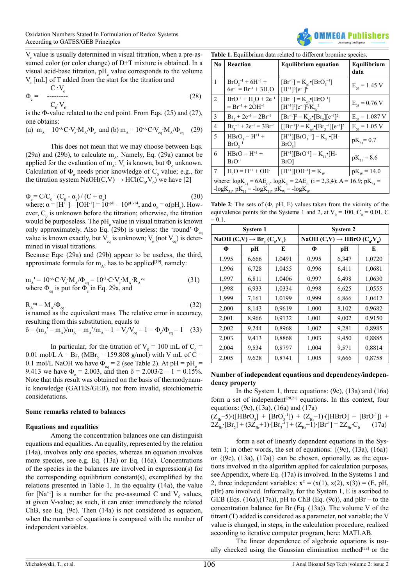V<sub>e</sub> value is usually determined in visual titration, when a pre-assumed color (or color change) of D+T mixture is obtained. In a visual acid-base titration,  $pH_{\text{e}}$  value corresponds to the volume  $V_{\rm e}$  [mL] of T added from the start for the titration and

$$
\Phi_e = \frac{\mathbf{C} \cdot \mathbf{V}_e}{\mathbf{C}_0 \cdot \mathbf{V}_0} \tag{28}
$$

is the  $\Phi$ -value related to the end point. From Eqs. (25) and (27), one obtains:

(a) 
$$
m_A = 10^{-3} \text{C} \cdot V_e \cdot M_A / \Phi_e
$$
 and (b)  $m_A = 10^{-3} \text{C} \cdot V_{eq} \cdot M_A / \Phi_{eq}$  (29)

This does not mean that we may choose between Eqs. (29a) and (29b), to calculate  $m_A$ . Namely, Eq. (29a) cannot be applied for the evaluation of  $m_A$ :  $V_e$  is known, but  $\Phi_e$  unknown. Calculation of  $\Phi_{\rm e}$  needs prior knowledge of  $\rm C_{0}$  value; e.g., for the titration system NaOH(C,V)  $\rightarrow$  HCl(C<sub>0</sub>,V<sub>0</sub>) we have [2]

$$
\Phi_e = C/C_0 \cdot (C_0 - \alpha_e) / (C + \alpha_e)
$$
\n(30)

\nwhere:  $\alpha = [H^+]-[OH^-]=10^{pH}-10^{pH-14}$ , and  $\alpha_e = \alpha(pH_e)$ . How-

ever,  $C_0$  is unknown before the titration; otherwise, the titration would be purposeless. The pH<sub>e</sub> value in visual titration is known only approximately. Also Eq. (29b) is useless: the 'round'  $\Phi_{eq}$ value is known exactly, but  $V_{eq}$  is unknown;  $V_{eq}$  (not  $V_{eq}$ ) is determined in visual titrations.

Because Eqs: (29a) and (29b) appear to be useless, the third, approximate formula for  $m_A$ , has to be applied<sup>[19]</sup>, namely:

$$
m_{A}^{''} = 10^{3} \cdot C \cdot V_e \cdot M_{A} / \Phi_{eq} = 10^{3} \cdot C \cdot V_e \cdot M_{A} \cdot R_{A}^{eq}
$$
  
where  $\Phi_{eq}$  is put for  $\Phi_e$  in Eq. 29a, and

 $R_{A}^{eq} = M_A / \Phi_{eq}$  (32) is named as the equivalent mass. The relative error in accuracy,

resulting from this substitution, equals to

$$
\delta = (m_{A}^{\prime} - m_{A})/m_{A} = m_{A}^{\prime}/m_{A} - 1 = V_{e}^{\prime}V_{eq} - 1 = \Phi_{e}^{\prime}\Phi_{eq} - 1 \quad (33)
$$

In particular, for the titration of  $V_0 = 100$  mL of  $C_0 =$ 0.01 mol/L  $A = Br_2$  (MBr<sub>2</sub> = 159.808 g/mol) with V mL of C = 0.1 mol/L NaOH we have  $\Phi_{eq} = 2$  (see Table 2). At pH = pH<sub>e</sub> = 9.413 we have  $\Phi_{\rm e} = 2.003$ , and then  $\delta = 2.003/2 - 1 = 0.15\%$ . Note that this result was obtained on the basis of thermodynamic knowledge (GATES/GEB), not from invalid, stoichiometric considerations.

#### **Some remarks related to balances**

#### **Equations and equalities**

Among the concentration balances one can distinguish equations and equalities. An equality, represented by the relation (14a), involves only one species, whereas an equation involves more species, see e.g. Eq. (13a) or Eq. (16a). Concentrations of the species in the balances are involved in expression(s) for the corresponding equilibrium constant(s), exemplified by the relations presented in Table 1. In the equality (14a), the value for [Na<sup>+1</sup>] is a number for the pre-assumed C and  $V_0$  values, at given V-value; as such, it can enter immediately the related ChB, see Eq. (9c). Then (14a) is not considered as equation, when the number of equations is compared with the number of independent variables.

**Table 1.** Equilibrium data related to different bromine species.

| No.                                                                                                                                                                   | Reaction                                               | <b>Equilibrium equation</b>                                                            | Equilibrium<br>data |  |  |  |
|-----------------------------------------------------------------------------------------------------------------------------------------------------------------------|--------------------------------------------------------|----------------------------------------------------------------------------------------|---------------------|--|--|--|
| $\mathbf{1}$                                                                                                                                                          | $BrO_3^{-1} + 6H^{+1} +$<br>$6e^{-1} = Br^{-1} + 3H2O$ | $[Br^{-1}] = K_{e1} \cdot [BrO_{3}^{-1}]$<br>$[H+1]$ <sup>6</sup> $[e-1]$ <sup>6</sup> | $E_{04} = 1.45$ V   |  |  |  |
| 2                                                                                                                                                                     | $BrO^{-1} + H2O + 2e^{-1}$<br>$= Br^{-1} + 2OH^{-1}$   | $[Br^{-1}] = K_{e2} \cdot [BrO^{-1}]$<br>$[H+1]^{2}[e^{-1}]^{2}/K_{w}^{2}$             | $E_{03} = 0.76$ V   |  |  |  |
| 3                                                                                                                                                                     | $Br_2 + 2e^{-1} = 2Br^{-1}$                            | $[Br^{-1}]^2 = K_{e3} \cdot [Br_2][e^{-1}]^2$                                          | $E_{03} = 1.087$ V  |  |  |  |
| 4                                                                                                                                                                     | $Br_1^{-1} + 2e^{-1} = 3Br^{-1}$                       | $[[Br^{-1}]^3 = K_{eq} \cdot [Br_3^{-1}][e^{-1}]^2$                                    | $E_{04} = 1.05$ V   |  |  |  |
| 5                                                                                                                                                                     | $HBrO_3 = H^{+1} +$<br>$BrO3-1$                        | $[H^+] [BrO_3^{-1}] = K_{51} \bullet [H -$<br>BrO <sub>2</sub>                         | $pK_{51} = 0.7$     |  |  |  |
| 6                                                                                                                                                                     | $HBrO = H^{+1} +$<br>$BrO^{-1}$                        | $[H+1][BrO-1] = K11 • [H-$<br>$BrO$ ]                                                  | $pK_{11} = 8.6$     |  |  |  |
| 7                                                                                                                                                                     | $H2O = H+1 + OH-1$                                     | $[H^{+1}][OH^{-1}] = K_w$                                                              | $pK_w = 14.0$       |  |  |  |
| where: $log K_{el} = 6AE_{01}$ , $log K_{el} = 2AE_{0i}$ ( $i = 2,3,4$ ); A = 16.9; pK <sub>51</sub> =<br>$-log K_{51}$ , $pK_{11} = -log K_{11}$ , $pK_w = -log K_w$ |                                                        |                                                                                        |                     |  |  |  |

**Table 2**: The sets of (Φ, pH, E) values taken from the vicinity of the equivalence points for the Systems 1 and 2, at  $V_0 = 100$ ,  $C_0 = 0.01$ , C  $= 0.1$ 

|                                        | <b>System 1</b> |        | System 2                               |       |        |
|----------------------------------------|-----------------|--------|----------------------------------------|-------|--------|
| NaOH $(C,V) \rightarrow Br, (C_0,V_0)$ |                 |        | NaOH $(C,V) \rightarrow HBrO(C_0,V_0)$ |       |        |
| Ф                                      | рH              | E      | Ф                                      | pН    | E      |
| 1,995                                  | 6,666           | 1,0491 | 0,995                                  | 6,347 | 1,0720 |
| 1,996                                  | 6,728           | 1,0455 | 0,996                                  | 6,411 | 1,0681 |
| 1,997                                  | 6,811           | 1,0406 | 0,997                                  | 6,498 | 1,0630 |
| 1,998                                  | 6,933           | 1,0334 | 0,998                                  | 6,625 | 1,0555 |
| 1,999                                  | 7,161           | 1,0199 | 0,999                                  | 6,866 | 1,0412 |
| 2,000                                  | 8,143           | 0,9619 | 1,000                                  | 8,102 | 0,9682 |
| 2,001                                  | 8,966           | 0,9132 | 1,001                                  | 9,002 | 0,9150 |
| 2,002                                  | 9,244           | 0,8968 | 1,002                                  | 9,281 | 0.8985 |
| 2,003                                  | 9,413           | 0,8868 | 1,003                                  | 9,450 | 0,8885 |
| 2,004                                  | 9,534           | 0,8797 | 1,004                                  | 9,571 | 0,8814 |
| 2,005                                  | 9,628           | 0,8741 | 1,005                                  | 9,666 | 0,8758 |

#### **Number of independent equations and dependency/independency property**

In the System 1, three equations:  $(9c)$ ,  $(13a)$  and  $(16a)$ form a set of independent<sup>[\[20,21\]](#page-8-3)</sup> equations. In this context, four equations: (9c), (13a), (16a) and (17a)

$$
(Z_{Br}-5) \cdot ([HBrO3] + [BrO3-1]) + (Z_{Br}-1) \cdot ([HBrO] + [BrO-1]) +2ZBr-1 [Br2] + (3ZBr+1) \cdot [Br3-1] + (ZBr+1) \cdot [Br-1] = 2ZBr \cdot C0 (17a)
$$

form a set of linearly dependent equations in the System 1; in other words, the set of equations:  $\{(9c), (13a), (16a)\}\$ or  $\{(9c), (13a), (17a)\}\)$  can be chosen, optionally, as the equations involved in the algorithm applied for calculation purposes, see Appendix, where Eq. (17a) is involved. In the Systems 1 and 2, three independent variables:  $\mathbf{x}^T = (x(1), x(2), x(3)) = (E, pH,$ pBr) are involved. Informally, for the System 1, E is ascribed to GEB (Eqs.  $(16a)$ , $(17a)$ ), pH to ChB (Eq.  $(9c)$ ), and pBr – to the concentration balance for Br (Eq. (13a)). The volume V of the titrant (T) added is considered as a parameter, not variable; the V value is changed, in steps, in the calculation procedure, realized according to iterative computer program, here: MATLAB.

The linear dependence of algebraic equations is usu-ally checked using the Gaussian elimination method<sup>[\[22\]](#page-8-4)</sup> or the

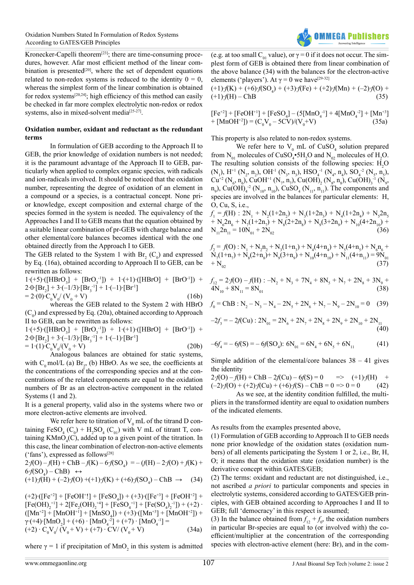

Kronecker-Capelli theorem[\[23\]](#page-8-5); there are time-consuming procedures, however. Afar most efficient method of the linear com-bination is presented<sup>[\[20\]](#page-8-3)</sup>, where the set of dependent equations related to non-redox systems is reduced to the identity  $0 = 0$ , whereas the simplest form of the linear combination is obtained for redox systems[\[20,24\]](#page-8-3); high efficiency of this method can easily be checked in far more complex electrolytic non-redox or redox systems, also in mixed-solvent media<sup>[\[25-27\]](#page-8-6)</sup>.

#### **Oxidation number, oxidant and reductant as the redundant terms**

In formulation of GEB according to the Approach II to GEB, the prior knowledge of oxidation numbers is not needed; it is the paramount advantage of the Approach II to GEB, particularly when applied to complex organic species, with radicals and ion-radicals involved. It should be noticed that the oxidation number, representing the degree of oxidation of an element in a compound or a species, is a contractual concept. None prior knowledge, except composition and external charge of the species formed in the system is needed. The equivalency of the Approaches I and II to GEB means that the equation obtained by a suitable linear combination of pr-GEB with charge balance and other elemental/core balances becomes identical with the one obtained directly from the Approach I to GEB.

The GEB related to the System 1 with  $Br_2(C_0)$  and expressed by Eq. (16a), obtained according to Approach II to GEB, can be rewritten as follows:

 $1·(+5)·([HBrO<sub>3</sub>] + [BrO<sub>3</sub><sup>-1</sup>]) + 1·(+1)·([HBrO] + [BrO<sup>-1</sup>]) +$  $2.0$ ⋅[Br<sub>2</sub>] + 3⋅(-1/3)⋅[Br<sub>3</sub><sup>-1</sup>] + 1⋅(-1)⋅[Br<sup>-1</sup>]  $= 2(0) \cdot C_0 V_0' (V_0 + V)$  (16b)

whereas the GEB related to the System 2 with HBrO  $(C_0)$  and expressed by Eq. (20a), obtained according to Approach II to GEB, can be rewritten as follows:

 $1·(+5)·([HBrO<sub>3</sub>] + [BrO<sub>3</sub><sup>-1</sup>]) + 1·(+1)·([HBrO] + [BrO<sup>-1</sup>]) +$  $2.0$ ⋅[Br<sub>2</sub>] + 3⋅(-1/3)⋅[Br<sub>3</sub><sup>-1</sup>] + 1⋅(-1)⋅[Br<sup>-1</sup>]  $= 1 \cdot (1) \cdot C_0 V_0 / (V_0 + V)$  (20b)

Analogous balances are obtained for static systems, with  $C_0$  mol/L (a)  $Br_2$ , (b) HBrO. As we see, the coefficients at the concentrations of the corresponding species and at the concentrations of the related components are equal to the oxidation numbers of Br as an electron-active component in the related Systems (1 and 2).

It is a general property, valid also in the systems where two or more electron-active elements are involved.

We refer here to titration of  $V_0$  mL of the titrand D containing  $\text{FeSO}_4^{\text{}}(C_0) + H_2^{\text{}}SO_4^{\text{}}(C_0)$  with V mL of titrant T, containing  $K MnO_4(C)$ , added up to a given point of the titration. In this case, the linear combination of electron-non-active elements ('fans'), expressed as follows<sup>[\[28\]](#page-8-7)</sup>

2⋅*f*(O) – *f*(H) + ChB – *f*(K) – 6⋅*f*(SO<sub>4</sub>) = – (*f*(H) – 2⋅*f*(O) + *f*(K) +  $6 \cdot f(SO_4) - ChB$   $\leftrightarrow$ 

$$
(+1)f(H) + (-2)f(O) + (+1)f(K) + (+6)f(SO4) - ChB \rightarrow (34)
$$

(+2)⋅([Fe<sup>+2</sup>] + [FeOH<sup>+</sup>!] + [FeSO<sub>4</sub>]) + (+3)⋅([Fe<sup>+3</sup>] + [FeOH<sup>+2</sup>] +  $[Fe(OH)<sub>2</sub><sup>+1</sup>] + 2[Fe<sub>2</sub>(OH)<sub>2</sub><sup>+4</sup>] + [FeSO<sub>4</sub><sup>+1</sup>] + [Fe(SO<sub>4</sub>)<sub>2</sub><sup>-1</sup>]) + (+2)$  $([Mn^{+2}] + [MnOH^{+1}] + [MnSO<sub>4</sub>]) + (+3) \cdot ([Mn^{+3}] + [MnOH^{+2}]) +$  $γ·(+4)·[MnO<sub>2</sub>] + (+6) · [MnO<sub>4</sub><sup>-2</sup>] + (+7) · [MnO<sub>4</sub><sup>-1</sup>] =$  $(+2) \cdot C_0 V_0 / (V_0 + V) + (+7) \cdot CV / (V_0 + V)$  (34a)

where  $\gamma = 1$  if precipitation of MnO<sub>2</sub> in this system is admitted

(e.g. at too small C<sub>01</sub> value), or  $\gamma = 0$  if it does not occur. The simplest form of GEB is obtained there from linear combination of the above balance (34) with the balances for the electron-active elements ('players'). At  $\gamma = 0$  we have<sup>[29-32]</sup>

$$
(+1)f(K) + (+6)f(SO4) + (+3)f(Fe) + (+2)f(Mn) + (-2)f(O) +
$$
  

$$
(+1)f(H) - ChB
$$
 (35)

$$
[Fe^{+2}] + [FeOH^{+1}] + [FeSO4] - (5[MnO4-1] + 4[MnO4-2] + [Mn+3]+ [MnOH+2]) = (C0V0 - 5CV)/(V0+V)
$$
(35a)

This property is also related to non-redox systems.

We refer here to  $V_0$  mL of CuSO<sub>4</sub> solution prepared from  $N_{01}$  molecules of CuSO<sub>4</sub>•5H<sub>2</sub>O and  $N_{02}$  molecules of H<sub>2</sub>O. The resulting solution consists of the following species:  $H_2O$  $(N_1)$ , H<sup>+1</sup>  $(N_2, n_2)$ , OH<sup>-1</sup>  $(N_3, n_3)$ , HSO<sub>4</sub><sup>-1</sup>  $(N_4, n_4)$ , SO<sub>4</sub><sup>-2</sup>  $(N_5, n_5)$ ,  $Cu^{+2} (N_6, n_6)$ , CuOH<sup>+1</sup> (N<sub>7</sub>, n<sub>7</sub>), Cu(OH)<sub>2</sub> (N<sub>8</sub>, n<sub>8</sub>), Cu(OH)<sub>3</sub><sup>-1</sup> (N<sub>9</sub>,  $n_9$ ), Cu(OH)<sub>4</sub><sup>-2</sup> (N<sub>10</sub>, n<sub>10</sub>), CuSO<sub>4</sub> (N<sub>11</sub>, n<sub>11</sub>). The components and species are involved in the balances for particular elements: H, O, Cu, S, i.e.,

 $f_1 = f(H)$  :  $2N_1 + N_2(1+2n_2) + N_3(1+2n_3) + N_4(1+2n_4) + N_52n_5$ +  $N_6 2n_6 + N_7(1+2n_7) + N_8(2+2n_8) + N_9(3+2n_9) + N_{10}(4+2n_{10}) +$  $N_{11}2n_{11} = 10N_{01} + 2N_{02}$ 

 $f_2 = f(0) : N_1 + N_2 n_2 + N_3(1+n_3) + N_4(4+n_4) + N_5(4+n_5) + N_6 n_6 +$  $N_7(1+n_7) + N_8(2+n_8) + N_9(3+n_9) + N_{10}(4+n_{10}) + N_{11}(4+n_{11}) = 9N_{01}$  $+ N_{02}$  (37)

$$
f_{12} = 2f(0) - f(H) : -N_2 + N_3 + 7N_4 + 8N_5 + N_7 + 2N_8 + 3N_9 + 4N_{10} + 8N_{11} = 8N_{01}
$$
\n(38)

$$
f_0 = \text{ChB}: \text{N}_2 - \text{N}_3 - \text{N}_4 - 2\text{N}_5 + 2\text{N}_6 + \text{N}_7 - \text{N}_9 - 2\text{N}_{10} = 0 \quad (39)
$$

$$
-2f_3 = -2f(Cu) : 2N_{01} = 2N_6 + 2N_7 + 2N_8 + 2N_9 + 2N_{10} + 2N_{11}
$$
\n(40)

$$
-6f_4 = -6f(S) = -6f(SO_4): 6N_{01} = 6N_4 + 6N_5 + 6N_{11}
$$
 (41)

Simple addition of the elemental/core balances  $38 - 41$  gives the identity

 $2 \cdot f(O) - f(H) + ChB - 2f(Cu) - 6f(S) = 0$  =>  $(+1) \cdot f(H) +$ (–2)∙*f*(O) + (+2)∙*f*(Cu) + (+6)∙*f*(S) – ChB = 0 => 0 = 0 (42)

As we see, at the identity condition fulfilled, the multipliers in the transformed identity are equal to oxidation numbers of the indicated elements.

As results from the examples presented above,

(1) Formulation of GEB according to Approach II to GEB needs none prior knowledge of the oxidation states (oxidation numbers) of all elements participating the System 1 or 2, i.e., Br, H, O; it means that the oxidation state (oxidation number) is the derivative concept within GATES/GEB;

(2) The terms: oxidant and reductant are not distinguished, i.e., not ascribed *a priori* to particular components and species in electrolytic systems, considered according to GATES/GEB principles, with GEB obtained according to Approaches I and II to GEB; full 'democracy' in this respect is assumed;

(3) In the balance obtained from  $f_{12} + f_0$ , the oxidation numbers in particular Br-species are equal to (or involved with) the coefficient/multiplier at the concentration of the corresponding species with electron-active element (here: Br), and in the com-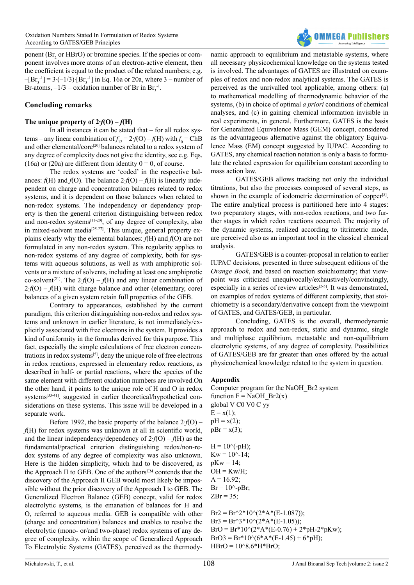ponent ( $Br<sub>2</sub>$  or HBrO) or bromine species. If the species or component involves more atoms of an electron-active element, then the coefficient is equal to the product of the related numbers; e.g.  $-[Br<sub>3</sub><sup>-1</sup>] = 3·(-1/3)·[Br<sub>3</sub><sup>-1</sup>]$  in Eq. 16a or 20a, where 3 – number of Br-atoms,  $-1/3$  – oxidation number of Br in Br<sub>3</sub><sup>-1</sup>.

# **Concluding remarks**

#### The unique property of  $2 \cdot f(O) - f(H)$

In all instances it can be stated that – for all redox systems – any linear combination of  $f_{12} = 2 f(O) - f(H)$  with  $f_0 = ChB$ and other elemental/core<sup>[\[20\]](#page-8-3)</sup> balances related to a redox system of any degree of complexity does not give the identity, see e.g. Eqs. (16a) or (20a) are different from identity  $0 = 0$ , of course.

The redox systems are 'coded' in the respective balances:  $f(H)$  and  $f(O)$ . The balance  $2 f(O) - f(H)$  is linearly independent on charge and concentration balances related to redox systems, and it is dependent on those balances when related to non-redox systems. The independency or dependency property is then the general criterion distinguishing between redox and non-redox systems $[11-20]$ , of any degree of complexity, also in mixed-solvent media<sup>[\[25-27\]](#page-8-6)</sup>. This unique, general property explains clearly why the elemental balances: *f*(H) and *f*(O) are not formulated in any non-redox system. This regularity applies to non-redox systems of any degree of complexity, both for systems with aqueous solutions, as well as with amphiprotic solvents or a mixture of solvents, including at least one amphiprotic co-solvent[\[21\].](#page-8-9) The 2∙*f*(O) – *f*(H) and any linear combination of 2*⋅f*(O) – *f*(H) with charge balance and other (elementary, core) balances of a given system retain full properties of the GEB.

Contrary to appearances, established by the current paradigm, this criterion distinguishing non-redox and redox systems and unknown in earlier literature, is not immediately/explicitly associated with free electrons in the system. It provides a kind of uniformity in the formulas derived for this purpose. This fact, especially the simple calculations of free electron concentrations in redox systems[\[5\]](#page-7-7), deny the unique role of free electrons in redox reactions, expressed in elementary redox reactions, as described in half- or partial reactions, where the species of the same element with different oxidation numbers are involved.On the other hand, it points to the unique role of H and O in redox systems[\[33-41\]](#page-8-10), suggested in earlier theoretical/hypothetical considerations on these systems. This issue will be developed in a separate work.

Before 1992, the basic property of the balance 2∙*f*(O) – *f*(H) for redox systems was unknown at all in scientific world, and the linear independency/dependency of 2∙*f*(O) – *f*(H) as the fundamental/practical criterion distinguishing redox/non-redox systems of any degree of complexity was also unknown. Here is the hidden simplicity, which had to be discovered, as the Approach II to GEB. One of the authors™ contends that the discovery of the Approach II GEB would most likely be impossible without the prior discovery of the Approach I to GEB. The Generalized Electron Balance (GEB) concept, valid for redox electrolytic systems, is the emanation of balances for H and O, referred to aqueous media. GEB is compatible with other (charge and concentration) balances and enables to resolve the electrolytic (mono- or/and two-phase) redox systems of any degree of complexity, within the scope of Generalized Approach To Electrolytic Systems (GATES), perceived as the thermody-

namic approach to equilibrium and metastable systems, where all necessary physicochemical knowledge on the systems tested is involved. The advantages of GATES are illustrated on examples of redox and non-redox analytical systems. The GATES is perceived as the unrivalled tool applicable, among others: (a) to mathematical modelling of thermodynamic behavior of the systems, (b) in choice of optimal *a priori* conditions of chemical analyses, and (c) in gaining chemical information invisible in real experiments, in general. Furthermore, GATES is the basis for Generalized Equivalence Mass (GEM) concept, considered as the advantageous alternative against the obligatory Equivalence Mass (EM) concept suggested by IUPAC. According to GATES, any chemical reaction notation is only a basis to formulate the related expression for equilibrium constant according to mass action law.

**OMMFCA Publichers** 

GATES/GEB allows tracking not only the individual titrations, but also the processes composed of several steps, as shown in the example of iodometric determination of copper<sup>[\[5\]](#page-7-7)</sup>. The entire analytical process is partitioned here into 4 stages: two preparatory stages, with non-redox reactions, and two further stages in which redox reactions occurred. The majority of the dynamic systems, realized according to titrimetric mode, are perceived also as an important tool in the classical chemical analysis.

GATES/GEB is a counter-proposal in relation to earlier IUPAC decisions, presented in three subsequent editions of the *Orange Book*, and based on reaction stoichiometry; that viewpoint was criticized unequivocally/exhaustively/convincingly, especially in a series of review articles<sup>[\[2-5\]](#page-7-8)</sup>. It was demonstrated, on examples of redox systems of different complexity, that stoichiometry is a secondary/derivative concept from the viewpoint of GATES, and GATES/GEB, in particular.

Concluding, GATES is the overall, thermodynamic approach to redox and non-redox, static and dynamic, single and multiphase equilibrium, metastable and non-equilibrium electrolytic systems, of any degree of complexity. Possibilities of GATES/GEB are far greater than ones offered by the actual physicochemical knowledge related to the system in question.

#### **Appendix**

Computer program for the NaOH\_Br2 system function  $F = NaOH$  Br2(x) global V C0 V0 C yy  $E = x(1);$  $pH = x(2);$  $pBr = x(3);$  $H = 10$ ^(-pH);  $Kw = 10^{\circ} - 14$ ;  $pKw = 14$ ;  $OH = Kw/H;$  $A = 16.92$ ;  $Br = 10^{\circ}$ -pBr;  $ZBr = 35$ ;  $Br2 = Br^{2*}10^{(2*}A^{*}(E-1.087));$ 

 $Br3 = Br^{3*}10^{(2+A*(E-1.05))};$  $BrO = Br*10^{\circ}(2*A*(E-0.76) + 2*pH-2*pKw);$  $BrO3 = Br*10^{\circ} (6*A*(E-1.45) + 6*pH);$  $HBrO = 10^{8}.6*H*BrO;$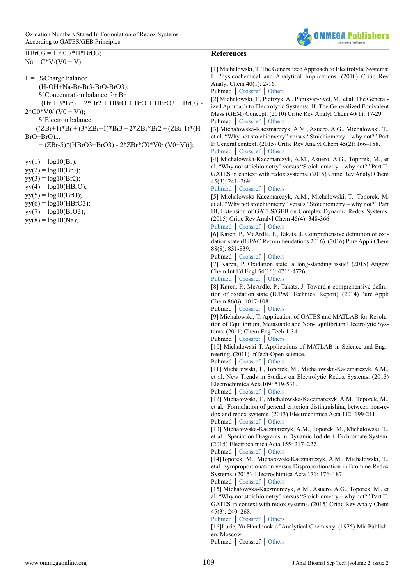<span id="page-7-8"></span><span id="page-7-7"></span><span id="page-7-6"></span><span id="page-7-5"></span><span id="page-7-4"></span><span id="page-7-3"></span><span id="page-7-2"></span><span id="page-7-1"></span><span id="page-7-0"></span>

| $HBrO3 = 10^{6}0.7*H*BrO3;$                         | <b>References</b>                                                                                                                      |
|-----------------------------------------------------|----------------------------------------------------------------------------------------------------------------------------------------|
| $Na = C*V/(V0 + V);$                                |                                                                                                                                        |
|                                                     | [1] Michałowski, T. The Generalized Approach to Electrolytic Systems:                                                                  |
| $F = \frac{9}{6}$ Charge balance                    | I. Physicochemical and Analytical Implications. (2010) Critic Rev                                                                      |
| (H-OH+Na-Br-Br3-BrO-BrO3);                          | Analyl Chem 40(1): 2-16.                                                                                                               |
| %Concentration balance for Br                       | Pubmed   Crossref   Others<br>[2] Michałowski, T., Pietrzyk, A., Ponikvar-Svet, M., et al. The General-                                |
| $(Br + 3*Br3 + 2*Br2 + HBrO + BrO + HBrO3 + BrO3 -$ | ized Approach to Electrolytic Systems: II. The Generalized Equivalent                                                                  |
| $2*C0*VO/(VO + V));$                                | Mass (GEM) Concept. (2010) Critic Rev Analyl Chem 40(1): 17-29.                                                                        |
| %Electron balance                                   | Pubmed   Crossref   Others                                                                                                             |
| $((ZBr+1)*Br+(3*ZBr+1)*Br3+2*ZBr*Br2+(ZBr-1)*(H-$   | [3] Michałowska-Kaczmarczyk, A.M., Asuero, A.G., Michałowski, T.,                                                                      |
| $BrO+BrO$ )                                         | et al. "Why not stoichiometry" versus "Stoichiometry - why not?" Part                                                                  |
| + $(ZBr-5)*(HBrO3+BrO3) - 2*ZBr*C0*V0/(V0+V))$ ];   | I: General context. (2015) Critic Rev Analyl Chem 45(2): 166–188.                                                                      |
|                                                     | Pubmed Crossref Others<br>[4] Michałowska-Kaczmarczyk, A.M., Asuero, A.G., Toporek, M., et                                             |
| $yy(1) = log10(Br);$                                | al. "Why not stoichiometry" versus "Stoichiometry - why not?" Part II:                                                                 |
| $yy(2) = log10(Br3);$                               | GATES in context with redox systems. (2015) Critic Rev Analyl Chem                                                                     |
| $yy(3) = log10(Br2);$                               | $45(3)$ : 241-269.                                                                                                                     |
| $yy(4) = log10(HBrO);$                              | Pubmed Crossref Others                                                                                                                 |
| $yy(5) = log10(BrO);$                               | [5] Michałowska-Kaczmarczyk, A.M., Michałowski, T., Toporek, M.                                                                        |
| $yy(6) = log10(HBrO3);$<br>$yy(7) = log10(BrO3);$   | et al. "Why not stoichiometry" versus "Stoichiometry - why not?" Part<br>III, Extension of GATES/GEB on Complex Dynamic Redox Systems. |
| $yy(8) = log10(Na);$                                | (2015) Critic Rev Analyl Chem 45(4): 348-366.                                                                                          |
|                                                     | Pubmed   Crossref   Others                                                                                                             |
|                                                     | [6] Karen, P., McArdle, P., Takats, J. Comprehensive definition of oxi-                                                                |
|                                                     | dation state (IUPAC Recommendations 2016). (2016) Pure Appli Chem                                                                      |
|                                                     | 88(8): 831-839.                                                                                                                        |
|                                                     | Pubmed   Crossref   Others<br>[7] Karen, P. Oxidation state, a long-standing issue! (2015) Angew                                       |
|                                                     | Chem Int Ed Engl 54(16): 4716-4726.                                                                                                    |
|                                                     | Pubmed   Crossref   Others                                                                                                             |
|                                                     | [8] Karen, P., McArdle, P., Takats, J. Toward a comprehensive defini-                                                                  |
|                                                     | tion of oxidation state (IUPAC Technical Report). (2014) Pure Appli                                                                    |
|                                                     | Chem 86(6): 1017-1081.                                                                                                                 |
|                                                     | Pubmed   Crossref   Others<br>[9] Michałowski, T. Application of GATES and MATLAB for Resolu-                                          |
|                                                     | tion of Equilibrium, Metastable and Non-Equilibrium Electrolytic Sys-                                                                  |
|                                                     | tems. (2011) Chem Eng Tech 1-34.                                                                                                       |
|                                                     | Pubmed   Crossref   Others                                                                                                             |
|                                                     | [10] Michałowski T. Applications of MATLAB in Science and Engi-                                                                        |
|                                                     | neering. (2011) InTech-Open science.                                                                                                   |
|                                                     | Pubmed   Crossref   Others<br>[11] Michałowski, T., Toporek, M., Michałowska-Kaczmarczyk, A.M.,                                        |
|                                                     | et al. New Trends in Studies on Electrolytic Redox Systems. (2013)                                                                     |
|                                                     | Electrochimica Acta109: 519-531.                                                                                                       |
|                                                     | Pubmed   Crossref   Others                                                                                                             |
|                                                     | [12] Michałowski, T., Michałowska-Kaczmarczyk, A.M., Toporek, M.,                                                                      |
|                                                     | et al. Formulation of general criterion distinguishing between non-re-                                                                 |
|                                                     | dox and redox systems. (2013) Electrochimica Acta 112: 199-211.<br>Pubmed   Crossref   Others                                          |
|                                                     | [13] Michałowska-Kaczmarczyk, A.M., Toporek, M., Michałowski, T.,                                                                      |
|                                                     | et al. Speciation Diagrams in Dynamic Iodide + Dichromate System.                                                                      |
|                                                     | (2015) Electrochimica Acta 155: 217-227.                                                                                               |
|                                                     | Pubmed   Crossref   Others                                                                                                             |
|                                                     | [14] Toporek, M., Michałowska Kaczmarczyk, A.M., Michałowski, T.,                                                                      |
|                                                     | etal. Symproportionation versus Disproportionation in Bromine Redox<br>Systems. (2015) Electrochimica Acta 171: 176-187.               |
|                                                     | Pubmed   Crossref   Others                                                                                                             |
|                                                     | [15] Michałowska-Kaczmarczyk, A.M., Asuero, A.G., Toporek, M., et                                                                      |
|                                                     | al. "Why not stoichiometry" versus "Stoichiometry - why not?" Part II:                                                                 |
|                                                     | GATES in context with redox systems. (2015) Critic Rev Analy Chem                                                                      |
|                                                     | $45(3)$ : 240-268.                                                                                                                     |
|                                                     | Pubmed   Crossref   Others<br>[16] Lurie, Yu Handbook of Analytical Chemistry. (1975) Mir Publish-                                     |
|                                                     | ers Moscow.                                                                                                                            |
|                                                     | Pubmed   Crossref   Others                                                                                                             |
|                                                     |                                                                                                                                        |